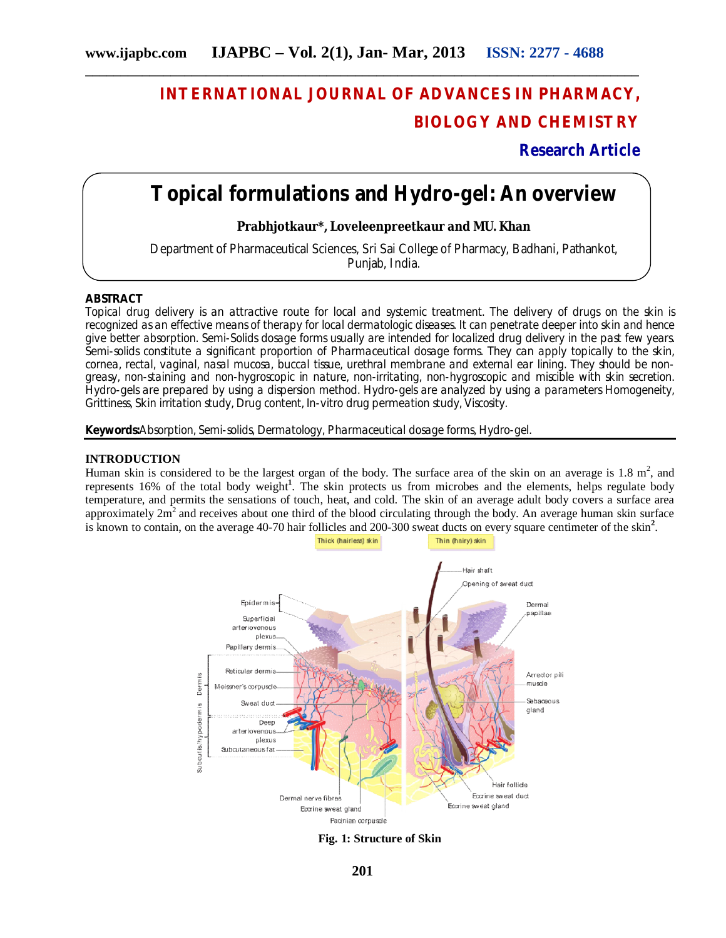# **INTERNATIONAL JOURNAL OF ADVANCES IN PHARMACY, BIOLOGY AND CHEMISTRY**

**Research Article**

# **Topical formulations and Hydro-gel: An overview**

**Prabhjotkaur\*, Loveleenpreetkaur and MU. Khan**

Department of Pharmaceutical Sciences, Sri Sai College of Pharmacy, Badhani, Pathankot, Punjab, India.

## **ABSTRACT**

Topical drug delivery is an attractive route for local and systemic treatment. The delivery of drugs on the skin is recognized as an effective means of therapy for local dermatologic diseases. It can penetrate deeper into skin and hence give better absorption. Semi-Solids dosage forms usually are intended for localized drug delivery in the past few years. Semi-solids constitute a significant proportion of Pharmaceutical dosage forms. They can apply topically to the skin, cornea, rectal, vaginal, nasal mucosa, buccal tissue, urethral membrane and external ear lining. They should be nongreasy, non-staining and non-hygroscopic in nature, non-irritating, non-hygroscopic and miscible with skin secretion. Hydro-gels are prepared by using a dispersion method. Hydro-gels are analyzed by using a parameters Homogeneity, Grittiness, Skin irritation study, Drug content, In-vitro drug permeation study, Viscosity.

**Keywords:**Absorption, Semi-solids, Dermatology, Pharmaceutical dosage forms, Hydro-gel.

## **INTRODUCTION**

Human skin is considered to be the largest organ of the body. The surface area of the skin on an average is  $1.8 \text{ m}^2$ , and represents 16% of the total body weight**<sup>1</sup>** . The skin protects us from microbes and the elements, helps regulate body temperature, and permits the sensations of touch, heat, and cold. The skin of an average adult body covers a surface area approximately  $2m<sup>2</sup>$  and receives about one third of the blood circulating through the body. An average human skin surface is known to contain, on the average 40-70 hair follicles and 200-300 sweat ducts on every square centimeter of the skin**<sup>2</sup>** .



**Fig. 1: Structure of Skin**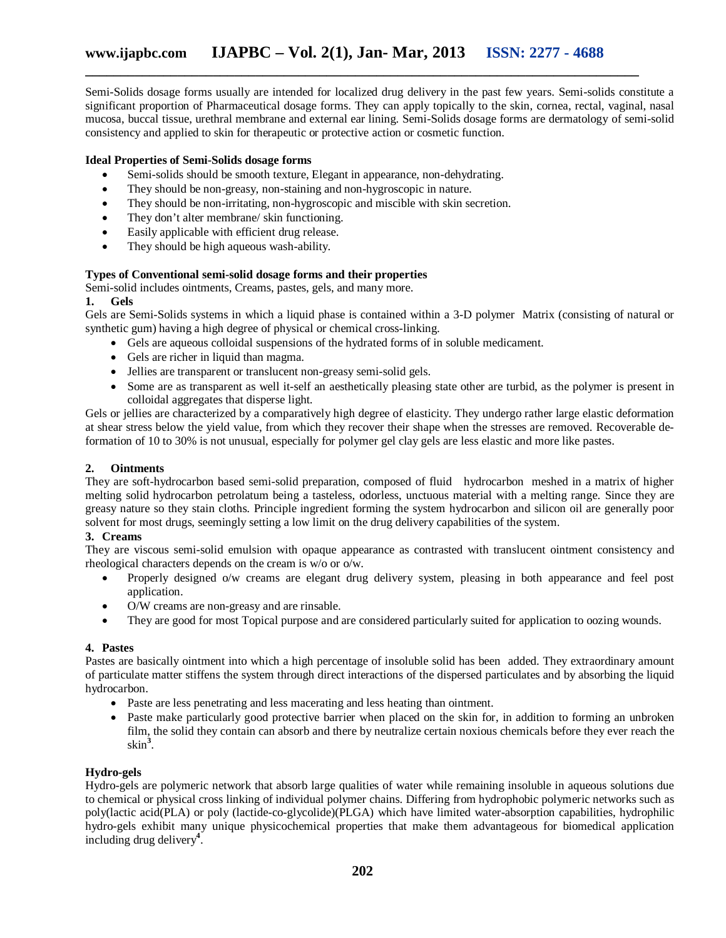Semi-Solids dosage forms usually are intended for localized drug delivery in the past few years. Semi-solids constitute a significant proportion of Pharmaceutical dosage forms. They can apply topically to the skin, cornea, rectal, vaginal, nasal mucosa, buccal tissue, urethral membrane and external ear lining. Semi-Solids dosage forms are dermatology of semi-solid consistency and applied to skin for therapeutic or protective action or cosmetic function.

# **Ideal Properties of Semi-Solids dosage forms**

- Semi-solids should be smooth texture, Elegant in appearance, non-dehydrating.
- They should be non-greasy, non-staining and non-hygroscopic in nature.
- They should be non-irritating, non-hygroscopic and miscible with skin secretion.
- They don't alter membrane/ skin functioning.
- Easily applicable with efficient drug release.
- They should be high aqueous wash-ability.

## **Types of Conventional semi-solid dosage forms and their properties**

Semi-solid includes ointments, Creams, pastes, gels, and many more.

## **1. Gels**

Gels are Semi-Solids systems in which a liquid phase is contained within a 3-D polymer Matrix (consisting of natural or synthetic gum) having a high degree of physical or chemical cross-linking.

- Gels are aqueous colloidal suspensions of the hydrated forms of in soluble medicament.
- Gels are richer in liquid than magma.
- Jellies are transparent or translucent non-greasy semi-solid gels.
- Some are as transparent as well it-self an aesthetically pleasing state other are turbid, as the polymer is present in colloidal aggregates that disperse light.

Gels or jellies are characterized by a comparatively high degree of elasticity. They undergo rather large elastic deformation at shear stress below the yield value, from which they recover their shape when the stresses are removed. Recoverable deformation of 10 to 30% is not unusual, especially for polymer gel clay gels are less elastic and more like pastes.

# **2. Ointments**

They are soft-hydrocarbon based semi-solid preparation, composed of fluid hydrocarbon meshed in a matrix of higher melting solid hydrocarbon petrolatum being a tasteless, odorless, unctuous material with a melting range. Since they are greasy nature so they stain cloths. Principle ingredient forming the system hydrocarbon and silicon oil are generally poor solvent for most drugs, seemingly setting a low limit on the drug delivery capabilities of the system.

# **3. Creams**

They are viscous semi-solid emulsion with opaque appearance as contrasted with translucent ointment consistency and rheological characters depends on the cream is w/o or o/w.

- Properly designed o/w creams are elegant drug delivery system, pleasing in both appearance and feel post application.
- O/W creams are non-greasy and are rinsable.
- They are good for most Topical purpose and are considered particularly suited for application to oozing wounds.

## **4. Pastes**

Pastes are basically ointment into which a high percentage of insoluble solid has been added. They extraordinary amount of particulate matter stiffens the system through direct interactions of the dispersed particulates and by absorbing the liquid hydrocarbon.

- Paste are less penetrating and less macerating and less heating than ointment.
- Paste make particularly good protective barrier when placed on the skin for, in addition to forming an unbroken film, the solid they contain can absorb and there by neutralize certain noxious chemicals before they ever reach the skin**<sup>3</sup>** .

# **Hydro-gels**

Hydro-gels are polymeric network that absorb large qualities of water while remaining insoluble in aqueous solutions due to chemical or physical cross linking of individual polymer chains. Differing from hydrophobic polymeric networks such as poly(lactic acid(PLA) or poly (lactide-co-glycolide)(PLGA) which have limited water-absorption capabilities, hydrophilic hydro-gels exhibit many unique physicochemical properties that make them advantageous for biomedical application including drug delivery**<sup>4</sup>** .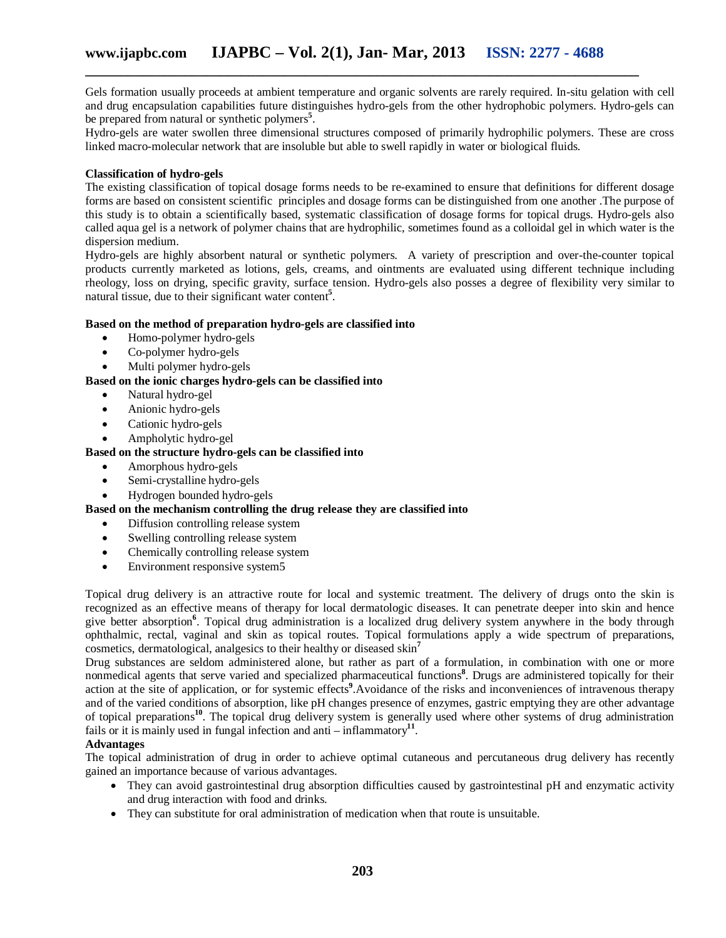Gels formation usually proceeds at ambient temperature and organic solvents are rarely required. In-situ gelation with cell and drug encapsulation capabilities future distinguishes hydro-gels from the other hydrophobic polymers. Hydro-gels can be prepared from natural or synthetic polymers**<sup>5</sup>** .

Hydro-gels are water swollen three dimensional structures composed of primarily hydrophilic polymers. These are cross linked macro-molecular network that are insoluble but able to swell rapidly in water or biological fluids.

## **Classification of hydro-gels**

The existing classification of topical dosage forms needs to be re-examined to ensure that definitions for different dosage forms are based on consistent scientific principles and dosage forms can be distinguished from one another .The purpose of this study is to obtain a scientifically based, systematic classification of dosage forms for topical drugs. Hydro-gels also called aqua gel is a network of polymer chains that are hydrophilic, sometimes found as a colloidal gel in which water is the dispersion medium.

Hydro-gels are highly absorbent natural or synthetic polymers. A variety of prescription and over-the-counter topical products currently marketed as lotions, gels, creams, and ointments are evaluated using different technique including rheology, loss on drying, specific gravity, surface tension. Hydro-gels also posses a degree of flexibility very similar to natural tissue, due to their significant water content**<sup>5</sup>** .

## **Based on the method of preparation hydro-gels are classified into**

- Homo-polymer hydro-gels
- Co-polymer hydro-gels
- Multi polymer hydro-gels

**Based on the ionic charges hydro-gels can be classified into**

- Natural hydro-gel
- Anionic hydro-gels
- Cationic hydro-gels
- Ampholytic hydro-gel

## **Based on the structure hydro-gels can be classified into**

- Amorphous hydro-gels
- Semi-crystalline hydro-gels
- Hydrogen bounded hydro-gels

# **Based on the mechanism controlling the drug release they are classified into**

- Diffusion controlling release system
- Swelling controlling release system
- Chemically controlling release system
- Environment responsive system5

Topical drug delivery is an attractive route for local and systemic treatment. The delivery of drugs onto the skin is recognized as an effective means of therapy for local dermatologic diseases. It can penetrate deeper into skin and hence give better absorption**<sup>6</sup>** . Topical drug administration is a localized drug delivery system anywhere in the body through ophthalmic, rectal, vaginal and skin as topical routes. Topical formulations apply a wide spectrum of preparations, cosmetics, dermatological, analgesics to their healthy or diseased skin**<sup>7</sup>**

Drug substances are seldom administered alone, but rather as part of a formulation, in combination with one or more nonmedical agents that serve varied and specialized pharmaceutical functions**<sup>8</sup>** . Drugs are administered topically for their action at the site of application, or for systemic effects**<sup>9</sup>** .Avoidance of the risks and inconveniences of intravenous therapy and of the varied conditions of absorption, like pH changes presence of enzymes, gastric emptying they are other advantage of topical preparations**<sup>10</sup>**. The topical drug delivery system is generally used where other systems of drug administration fails or it is mainly used in fungal infection and anti – inflammatory**<sup>11</sup>** .

## **Advantages**

The topical administration of drug in order to achieve optimal cutaneous and percutaneous drug delivery has recently gained an importance because of various advantages.

- They can avoid gastrointestinal drug absorption difficulties caused by gastrointestinal pH and enzymatic activity and drug interaction with food and drinks.
- They can substitute for oral administration of medication when that route is unsuitable.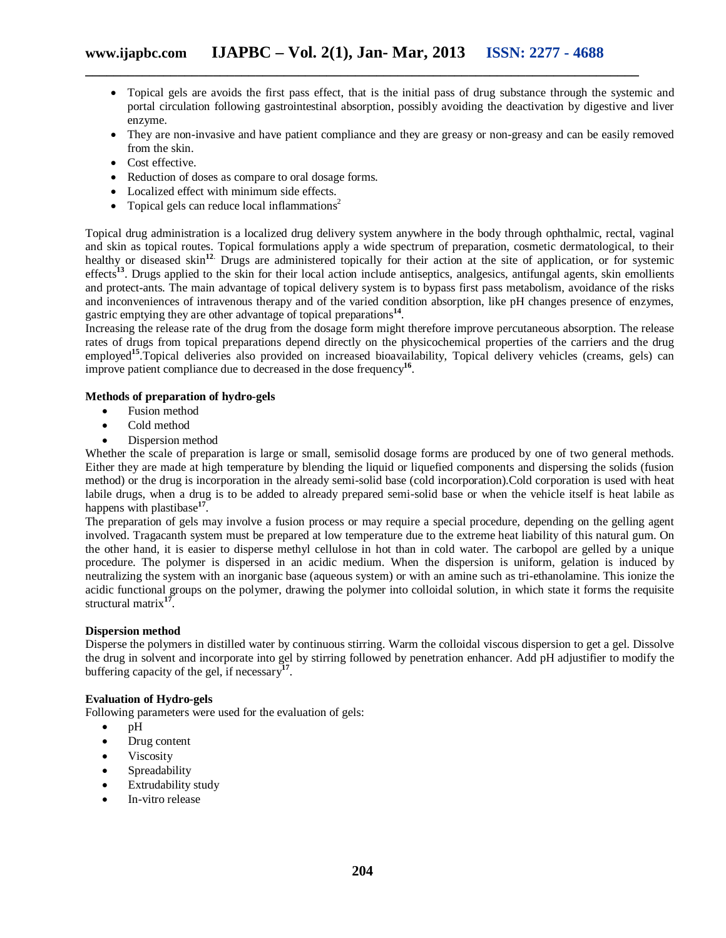- Topical gels are avoids the first pass effect, that is the initial pass of drug substance through the systemic and portal circulation following gastrointestinal absorption, possibly avoiding the deactivation by digestive and liver enzyme.
- They are non-invasive and have patient compliance and they are greasy or non-greasy and can be easily removed from the skin.
- Cost effective.
- Reduction of doses as compare to oral dosage forms.
- Localized effect with minimum side effects.
- Topical gels can reduce local inflammations<sup>2</sup>

Topical drug administration is a localized drug delivery system anywhere in the body through ophthalmic, rectal, vaginal and skin as topical routes. Topical formulations apply a wide spectrum of preparation, cosmetic dermatological, to their healthy or diseased skin<sup>12</sup>. Drugs are administered topically for their action at the site of application, or for systemic effects<sup>13</sup>. Drugs applied to the skin for their local action include antiseptics, analgesics, antifungal agents, skin emollients and protect-ants. The main advantage of topical delivery system is to bypass first pass metabolism, avoidance of the risks and inconveniences of intravenous therapy and of the varied condition absorption, like pH changes presence of enzymes, gastric emptying they are other advantage of topical preparations**<sup>14</sup>** .

Increasing the release rate of the drug from the dosage form might therefore improve percutaneous absorption. The release rates of drugs from topical preparations depend directly on the physicochemical properties of the carriers and the drug employed<sup>15</sup>. Topical deliveries also provided on increased bioavailability, Topical delivery vehicles (creams, gels) can improve patient compliance due to decreased in the dose frequency**<sup>16</sup>** .

## **Methods of preparation of hydro-gels**

- Fusion method
- Cold method
- Dispersion method

Whether the scale of preparation is large or small, semisolid dosage forms are produced by one of two general methods. Either they are made at high temperature by blending the liquid or liquefied components and dispersing the solids (fusion method) or the drug is incorporation in the already semi-solid base (cold incorporation).Cold corporation is used with heat labile drugs, when a drug is to be added to already prepared semi-solid base or when the vehicle itself is heat labile as happens with plastibase**<sup>17</sup>** .

The preparation of gels may involve a fusion process or may require a special procedure, depending on the gelling agent involved. Tragacanth system must be prepared at low temperature due to the extreme heat liability of this natural gum. On the other hand, it is easier to disperse methyl cellulose in hot than in cold water. The carbopol are gelled by a unique procedure. The polymer is dispersed in an acidic medium. When the dispersion is uniform, gelation is induced by neutralizing the system with an inorganic base (aqueous system) or with an amine such as tri-ethanolamine. This ionize the acidic functional groups on the polymer, drawing the polymer into colloidal solution, in which state it forms the requisite structural matrix**<sup>17</sup>** .

## **Dispersion method**

Disperse the polymers in distilled water by continuous stirring. Warm the colloidal viscous dispersion to get a gel. Dissolve the drug in solvent and incorporate into gel by stirring followed by penetration enhancer. Add pH adjustifier to modify the buffering capacity of the gel, if necessary**<sup>17</sup>** .

# **Evaluation of Hydro-gels**

Following parameters were used for the evaluation of gels:

- $\bullet$  pH
- Drug content
- Viscosity
- Spreadability
- Extrudability study
- In-vitro release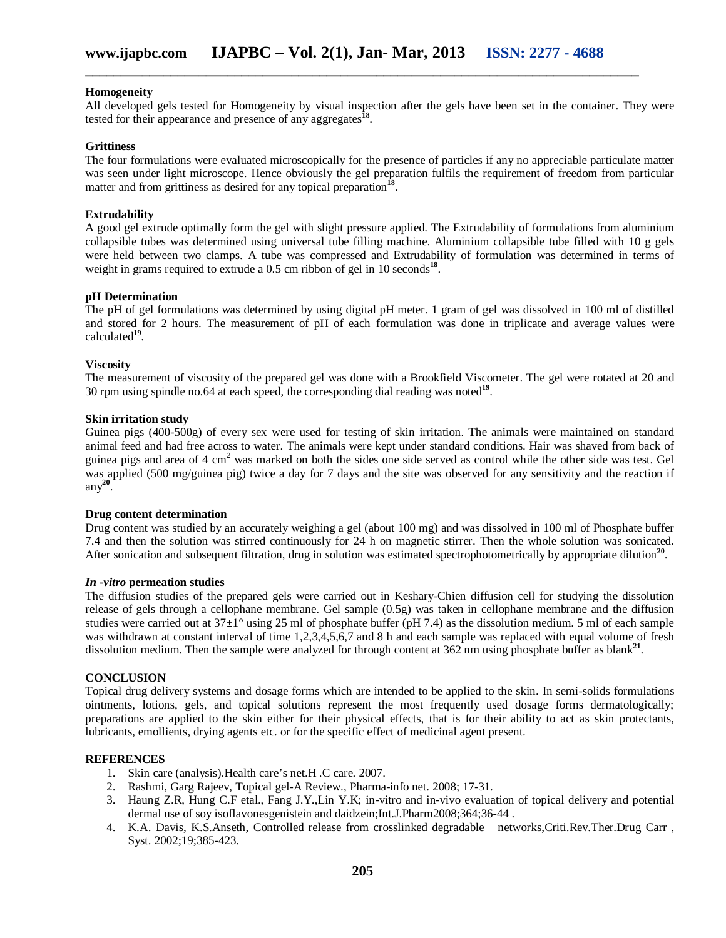#### **Homogeneity**

All developed gels tested for Homogeneity by visual inspection after the gels have been set in the container. They were tested for their appearance and presence of any aggregates**<sup>18</sup>** .

#### **Grittiness**

The four formulations were evaluated microscopically for the presence of particles if any no appreciable particulate matter was seen under light microscope. Hence obviously the gel preparation fulfils the requirement of freedom from particular matter and from grittiness as desired for any topical preparation<sup>1</sup> .

## **Extrudability**

A good gel extrude optimally form the gel with slight pressure applied. The Extrudability of formulations from aluminium collapsible tubes was determined using universal tube filling machine. Aluminium collapsible tube filled with 10 g gels were held between two clamps. A tube was compressed and Extrudability of formulation was determined in terms of weight in grams required to extrude a 0.5 cm ribbon of gel in 10 seconds<sup>18</sup>.

## **pH Determination**

The pH of gel formulations was determined by using digital pH meter. 1 gram of gel was dissolved in 100 ml of distilled and stored for 2 hours. The measurement of pH of each formulation was done in triplicate and average values were calculated**<sup>19</sup>** .

#### **Viscosity**

The measurement of viscosity of the prepared gel was done with a Brookfield Viscometer. The gel were rotated at 20 and 30 rpm using spindle no.64 at each speed, the corresponding dial reading was noted**<sup>19</sup>** .

#### **Skin irritation study**

Guinea pigs (400-500g) of every sex were used for testing of skin irritation. The animals were maintained on standard animal feed and had free across to water. The animals were kept under standard conditions. Hair was shaved from back of guinea pigs and area of 4 cm<sup>2</sup> was marked on both the sides one side served as control while the other side was test. Gel was applied (500 mg/guinea pig) twice a day for 7 days and the site was observed for any sensitivity and the reaction if any**<sup>20</sup>** .

#### **Drug content determination**

Drug content was studied by an accurately weighing a gel (about 100 mg) and was dissolved in 100 ml of Phosphate buffer 7.4 and then the solution was stirred continuously for 24 h on magnetic stirrer. Then the whole solution was sonicated. After sonication and subsequent filtration, drug in solution was estimated spectrophotometrically by appropriate dilution<sup>20</sup>.

#### *In -vitro* **permeation studies**

The diffusion studies of the prepared gels were carried out in Keshary-Chien diffusion cell for studying the dissolution release of gels through a cellophane membrane. Gel sample (0.5g) was taken in cellophane membrane and the diffusion studies were carried out at  $37\pm1^\circ$  using 25 ml of phosphate buffer (pH 7.4) as the dissolution medium. 5 ml of each sample was withdrawn at constant interval of time 1,2,3,4,5,6,7 and 8 h and each sample was replaced with equal volume of fresh dissolution medium. Then the sample were analyzed for through content at 362 nm using phosphate buffer as blank<sup>21</sup>.

#### **CONCLUSION**

Topical drug delivery systems and dosage forms which are intended to be applied to the skin. In semi-solids formulations ointments, lotions, gels, and topical solutions represent the most frequently used dosage forms dermatologically; preparations are applied to the skin either for their physical effects, that is for their ability to act as skin protectants, lubricants, emollients, drying agents etc. or for the specific effect of medicinal agent present.

#### **REFERENCES**

- 1. Skin care (analysis).Health care's net.H .C care. 2007.
- 2. Rashmi, Garg Rajeev, Topical gel-A Review., Pharma-info net. 2008; 17-31.
- 3. Haung Z.R, Hung C.F etal., Fang J.Y.,Lin Y.K; in-vitro and in-vivo evaluation of topical delivery and potential dermal use of soy isoflavonesgenistein and daidzein;Int.J.Pharm2008;364;36-44 .
- 4. K.A. Davis, K.S.Anseth, Controlled release from crosslinked degradable networks,Criti.Rev.Ther.Drug Carr , Syst. 2002;19;385-423.